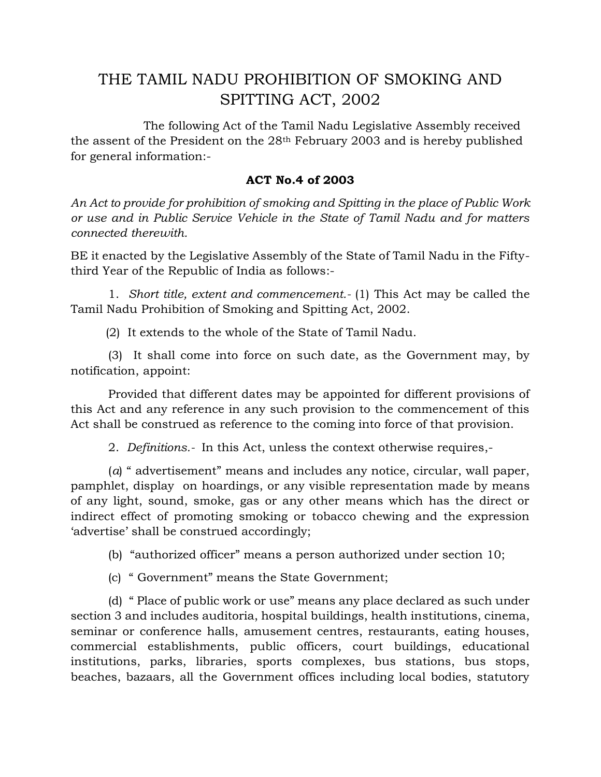## THE TAMIL NADU PROHIBITION OF SMOKING AND SPITTING ACT, 2002

 The following Act of the Tamil Nadu Legislative Assembly received the assent of the President on the 28th February 2003 and is hereby published for general information:-

## **ACT No.4 of 2003**

*An Act to provide for prohibition of smoking and Spitting in the place of Public Work or use and in Public Service Vehicle in the State of Tamil Nadu and for matters connected therewith.*

BE it enacted by the Legislative Assembly of the State of Tamil Nadu in the Fiftythird Year of the Republic of India as follows:-

 1. *Short title, extent and commencement.-* (1) This Act may be called the Tamil Nadu Prohibition of Smoking and Spitting Act, 2002.

(2) It extends to the whole of the State of Tamil Nadu.

 (3) It shall come into force on such date, as the Government may, by notification, appoint:

 Provided that different dates may be appointed for different provisions of this Act and any reference in any such provision to the commencement of this Act shall be construed as reference to the coming into force of that provision.

2. *Definitions.-* In this Act, unless the context otherwise requires,-

 (*a*) " advertisement" means and includes any notice, circular, wall paper, pamphlet, display on hoardings, or any visible representation made by means of any light, sound, smoke, gas or any other means which has the direct or indirect effect of promoting smoking or tobacco chewing and the expression 'advertise' shall be construed accordingly;

(b) "authorized officer" means a person authorized under section 10;

(c) " Government" means the State Government;

 (d) " Place of public work or use" means any place declared as such under section 3 and includes auditoria, hospital buildings, health institutions, cinema, seminar or conference halls, amusement centres, restaurants, eating houses, commercial establishments, public officers, court buildings, educational institutions, parks, libraries, sports complexes, bus stations, bus stops, beaches, bazaars, all the Government offices including local bodies, statutory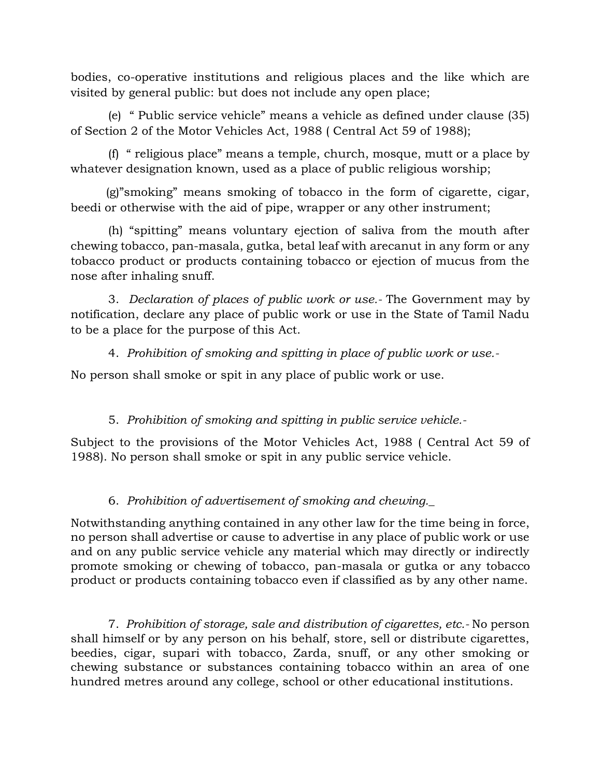bodies, co-operative institutions and religious places and the like which are visited by general public: but does not include any open place;

 (e) " Public service vehicle" means a vehicle as defined under clause (35) of Section 2 of the Motor Vehicles Act, 1988 ( Central Act 59 of 1988);

 (f) " religious place" means a temple, church, mosque, mutt or a place by whatever designation known, used as a place of public religious worship;

(g)"smoking" means smoking of tobacco in the form of cigarette, cigar, beedi or otherwise with the aid of pipe, wrapper or any other instrument;

 (h) "spitting" means voluntary ejection of saliva from the mouth after chewing tobacco, pan-masala, gutka, betal leaf with arecanut in any form or any tobacco product or products containing tobacco or ejection of mucus from the nose after inhaling snuff.

 3. *Declaration of places of public work or use.-* The Government may by notification, declare any place of public work or use in the State of Tamil Nadu to be a place for the purpose of this Act.

4. *Prohibition of smoking and spitting in place of public work or use.-* 

No person shall smoke or spit in any place of public work or use.

5. *Prohibition of smoking and spitting in public service vehicle.-*

Subject to the provisions of the Motor Vehicles Act, 1988 ( Central Act 59 of 1988). No person shall smoke or spit in any public service vehicle.

## 6. *Prohibition of advertisement of smoking and chewing.\_*

Notwithstanding anything contained in any other law for the time being in force, no person shall advertise or cause to advertise in any place of public work or use and on any public service vehicle any material which may directly or indirectly promote smoking or chewing of tobacco, pan-masala or gutka or any tobacco product or products containing tobacco even if classified as by any other name.

 7. *Prohibition of storage, sale and distribution of cigarettes, etc.-* No person shall himself or by any person on his behalf, store, sell or distribute cigarettes, beedies, cigar, supari with tobacco, Zarda, snuff, or any other smoking or chewing substance or substances containing tobacco within an area of one hundred metres around any college, school or other educational institutions.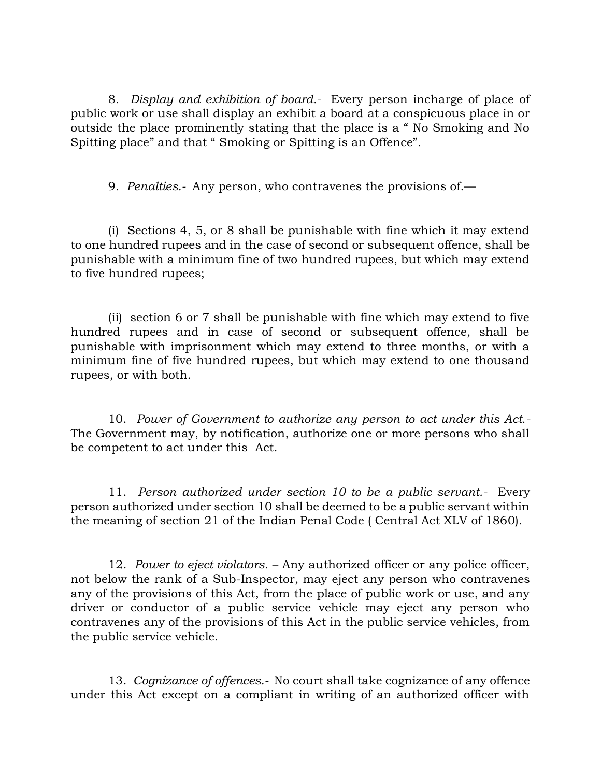8. *Display and exhibition of board.-* Every person incharge of place of public work or use shall display an exhibit a board at a conspicuous place in or outside the place prominently stating that the place is a " No Smoking and No Spitting place" and that " Smoking or Spitting is an Offence".

9. *Penalties.-* Any person, who contravenes the provisions of.—

 (i) Sections 4, 5, or 8 shall be punishable with fine which it may extend to one hundred rupees and in the case of second or subsequent offence, shall be punishable with a minimum fine of two hundred rupees, but which may extend to five hundred rupees;

 (ii) section 6 or 7 shall be punishable with fine which may extend to five hundred rupees and in case of second or subsequent offence, shall be punishable with imprisonment which may extend to three months, or with a minimum fine of five hundred rupees, but which may extend to one thousand rupees, or with both.

 10. *Power of Government to authorize any person to act under this Act.-*  The Government may, by notification, authorize one or more persons who shall be competent to act under this Act.

 11. *Person authorized under section 10 to be a public servant.-* Every person authorized under section 10 shall be deemed to be a public servant within the meaning of section 21 of the Indian Penal Code ( Central Act XLV of 1860).

 12. *Power to eject violators*. – Any authorized officer or any police officer, not below the rank of a Sub-Inspector, may eject any person who contravenes any of the provisions of this Act, from the place of public work or use, and any driver or conductor of a public service vehicle may eject any person who contravenes any of the provisions of this Act in the public service vehicles, from the public service vehicle.

 13. *Cognizance of offences.-* No court shall take cognizance of any offence under this Act except on a compliant in writing of an authorized officer with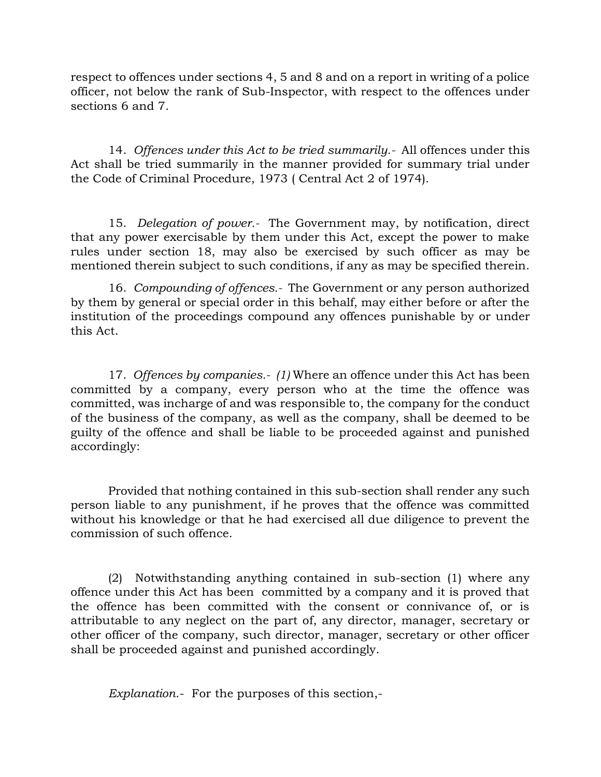respect to offences under sections 4, 5 and 8 and on a report in writing of a police officer, not below the rank of Sub-Inspector, with respect to the offences under sections 6 and 7.

 14. *Offences under this Act to be tried summarily.-* All offences under this Act shall be tried summarily in the manner provided for summary trial under the Code of Criminal Procedure, 1973 ( Central Act 2 of 1974).

 15. *Delegation of power.-* The Government may, by notification, direct that any power exercisable by them under this Act, except the power to make rules under section 18, may also be exercised by such officer as may be mentioned therein subject to such conditions, if any as may be specified therein.

 16. *Compounding of offences.-* The Government or any person authorized by them by general or special order in this behalf, may either before or after the institution of the proceedings compound any offences punishable by or under this Act.

 17. *Offences by companies.- (1)* Where an offence under this Act has been committed by a company, every person who at the time the offence was committed, was incharge of and was responsible to, the company for the conduct of the business of the company, as well as the company, shall be deemed to be guilty of the offence and shall be liable to be proceeded against and punished accordingly:

 Provided that nothing contained in this sub-section shall render any such person liable to any punishment, if he proves that the offence was committed without his knowledge or that he had exercised all due diligence to prevent the commission of such offence.

 (2) Notwithstanding anything contained in sub-section (1) where any offence under this Act has been committed by a company and it is proved that the offence has been committed with the consent or connivance of, or is attributable to any neglect on the part of, any director, manager, secretary or other officer of the company, such director, manager, secretary or other officer shall be proceeded against and punished accordingly.

*Explanation*.- For the purposes of this section,-